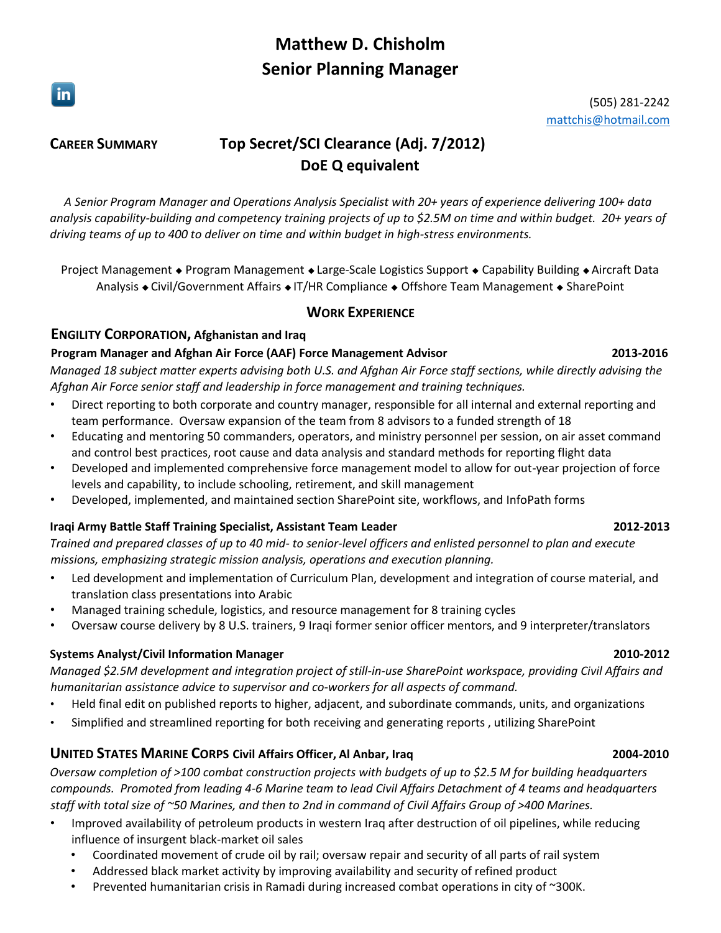# **Matthew D. Chisholm Senior Planning Manager**

 $\vert$  in  $\vert$ 

### (505) 281-2242 [mattchis@hotmail.com](mailto:mattchis@hotmail.com?subject=Job%20Application)

# **CAREER SUMMARY Top Secret/SCI Clearance (Adj. 7/2012) DoE Q equivalent**

*A Senior Program Manager and Operations Analysis Specialist with 20+ years of experience delivering 100+ data analysis capability-building and competency training projects of up to \$2.5M on time and within budget. 20+ years of driving teams of up to 400 to deliver on time and within budget in high-stress environments.* 

Project Management • Program Management • Large-Scale Logistics Support • Capability Building • Aircraft Data Analysis • Civil/Government Affairs • IT/HR Compliance • Offshore Team Management • SharePoint

# **WORK EXPERIENCE**

# **ENGILITY CORPORATION, Afghanistan and Iraq**

# **Program Manager and Afghan Air Force (AAF) Force Management Advisor 2013-2016**

*Managed 18 subject matter experts advising both U.S. and Afghan Air Force staff sections, while directly advising the Afghan Air Force senior staff and leadership in force management and training techniques.*

- Direct reporting to both corporate and country manager, responsible for all internal and external reporting and team performance. Oversaw expansion of the team from 8 advisors to a funded strength of 18
- Educating and mentoring 50 commanders, operators, and ministry personnel per session, on air asset command and control best practices, root cause and data analysis and standard methods for reporting flight data
- Developed and implemented comprehensive force management model to allow for out-year projection of force levels and capability, to include schooling, retirement, and skill management
- Developed, implemented, and maintained section SharePoint site, workflows, and InfoPath forms

# **Iraqi Army Battle Staff Training Specialist, Assistant Team Leader 2012-2013**

*Trained and prepared classes of up to 40 mid- to senior-level officers and enlisted personnel to plan and execute missions, emphasizing strategic mission analysis, operations and execution planning.* 

- Led development and implementation of Curriculum Plan, development and integration of course material, and translation class presentations into Arabic
- Managed training schedule, logistics, and resource management for 8 training cycles
- Oversaw course delivery by 8 U.S. trainers, 9 Iraqi former senior officer mentors, and 9 interpreter/translators

# **Systems Analyst/Civil Information Manager 2010-2012**

*Managed \$2.5M development and integration project of still-in-use SharePoint workspace, providing Civil Affairs and humanitarian assistance advice to supervisor and co-workers for all aspects of command.* 

- Held final edit on published reports to higher, adjacent, and subordinate commands, units, and organizations
- Simplified and streamlined reporting for both receiving and generating reports , utilizing SharePoint

# **UNITED STATES MARINE CORPS Civil Affairs Officer, Al Anbar, Iraq 2004-2010**

*Oversaw completion of >100 combat construction projects with budgets of up to \$2.5 M for building headquarters compounds. Promoted from leading 4-6 Marine team to lead Civil Affairs Detachment of 4 teams and headquarters staff with total size of ~50 Marines, and then to 2nd in command of Civil Affairs Group of >400 Marines.* 

- Improved availability of petroleum products in western Iraq after destruction of oil pipelines, while reducing influence of insurgent black-market oil sales
	- Coordinated movement of crude oil by rail; oversaw repair and security of all parts of rail system
	- Addressed black market activity by improving availability and security of refined product
	- Prevented humanitarian crisis in Ramadi during increased combat operations in city of ~300K.